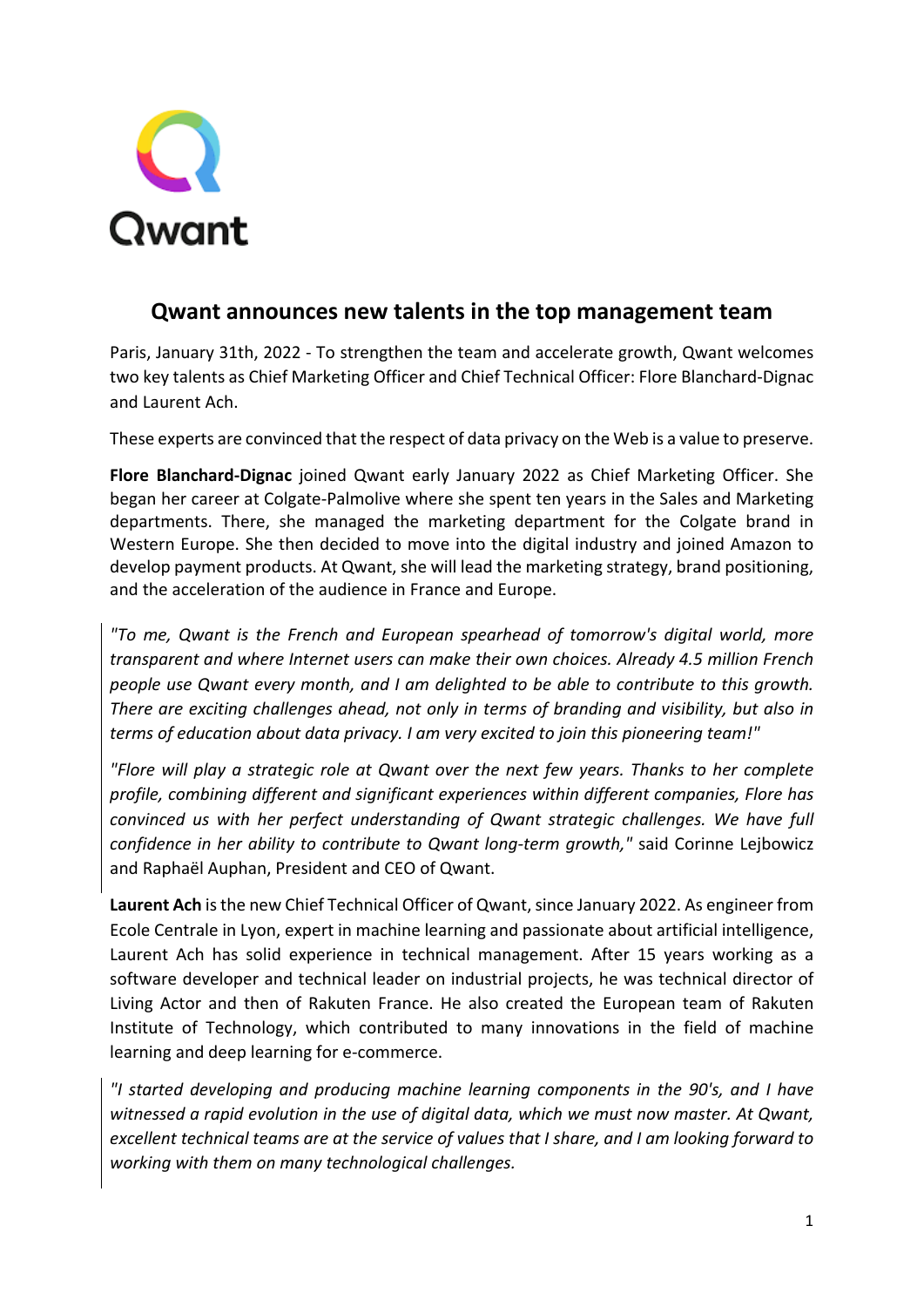

## **Qwant announces new talents in the top management team**

Paris, January 31th, 2022 - To strengthen the team and accelerate growth, Qwant welcomes two key talents as Chief Marketing Officer and Chief Technical Officer: Flore Blanchard-Dignac and Laurent Ach.

These experts are convinced that the respect of data privacy on the Web is a value to preserve.

**Flore Blanchard-Dignac** joined Qwant early January 2022 as Chief Marketing Officer. She began her career at Colgate-Palmolive where she spent ten years in the Sales and Marketing departments. There, she managed the marketing department for the Colgate brand in Western Europe. She then decided to move into the digital industry and joined Amazon to develop payment products. At Qwant, she will lead the marketing strategy, brand positioning, and the acceleration of the audience in France and Europe.

*"To me, Qwant is the French and European spearhead of tomorrow's digital world, more transparent and where Internet users can make their own choices. Already 4.5 million French people use Qwant every month, and I am delighted to be able to contribute to this growth. There are exciting challenges ahead, not only in terms of branding and visibility, but also in terms of education about data privacy. I am very excited to join this pioneering team!"*

*"Flore will play a strategic role at Qwant over the next few years. Thanks to her complete profile, combining different and significant experiences within different companies, Flore has convinced us with her perfect understanding of Qwant strategic challenges. We have full confidence in her ability to contribute to Qwant long-term growth,"* said Corinne Lejbowicz and Raphaël Auphan, President and CEO of Qwant.

**Laurent Ach** is the new Chief Technical Officer of Qwant, since January 2022. As engineer from Ecole Centrale in Lyon, expert in machine learning and passionate about artificial intelligence, Laurent Ach has solid experience in technical management. After 15 years working as a software developer and technical leader on industrial projects, he was technical director of Living Actor and then of Rakuten France. He also created the European team of Rakuten Institute of Technology, which contributed to many innovations in the field of machine learning and deep learning for e-commerce.

*"I started developing and producing machine learning components in the 90's, and I have witnessed a rapid evolution in the use of digital data, which we must now master. At Qwant, excellent technical teams are at the service of values that I share, and I am looking forward to working with them on many technological challenges.*